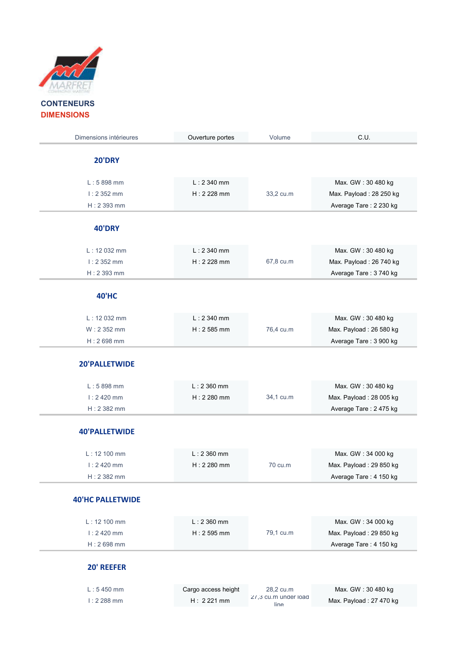

| Dimensions intérieures       | Ouverture portes             | Volume    | C.U.                    |
|------------------------------|------------------------------|-----------|-------------------------|
| <b>20'DRY</b>                |                              |           |                         |
|                              |                              |           |                         |
| $L: 5898$ mm                 | $L: 2340$ mm                 |           | Max. GW: 30 480 kg      |
| $1:2352$ mm                  | $H: 2228$ mm                 | 33,2 cu.m | Max. Payload: 28 250 kg |
| $H: 2393$ mm                 |                              |           | Average Tare: 2 230 kg  |
| <b>40'DRY</b>                |                              |           |                         |
|                              |                              |           |                         |
| $L: 12032$ mm<br>$1:2352$ mm | $L: 2340$ mm<br>$H: 2228$ mm |           | Max. GW: 30 480 kg      |
|                              |                              | 67,8 cu.m | Max. Payload: 26 740 kg |
| $H: 2393$ mm                 |                              |           | Average Tare: 3 740 kg  |
| <b>40'HC</b>                 |                              |           |                         |
| $L: 12032$ mm                | $L: 2340$ mm                 |           | Max. GW: 30 480 kg      |
| $W: 2352$ mm                 | $H: 2585$ mm                 | 76,4 cu.m | Max. Payload: 26 580 kg |
| $H: 2698$ mm                 |                              |           | Average Tare: 3 900 kg  |
| 20'PALLETWIDE                |                              |           |                         |
|                              |                              |           |                         |
| $L: 5898$ mm                 | $L: 2360$ mm                 |           | Max. GW: 30 480 kg      |
| $1:2420$ mm                  | $H: 2280$ mm                 | 34,1 cu.m | Max. Payload: 28 005 kg |
| $H: 2382$ mm                 |                              |           | Average Tare: 2 475 kg  |
| <b>40'PALLETWIDE</b>         |                              |           |                         |
|                              |                              |           |                         |
| L: 12 100 mm                 | $L: 2360$ mm                 |           | Max. GW: 34 000 kg      |
| $1:2420$ mm                  | $H: 2280$ mm                 | 70 cu.m   | Max. Payload: 29 850 kg |
| $H: 2382$ mm                 |                              |           | Average Tare: 4 150 kg  |
| <b>40'HC PALLETWIDE</b>      |                              |           |                         |
|                              |                              |           |                         |
| L: 12 100 mm                 | $L: 2360$ mm                 |           | Max. GW: 34 000 kg      |
| $1:2420$ mm                  | $H: 2595$ mm                 | 79,1 cu.m | Max. Payload: 29 850 kg |
| $H: 2698$ mm                 |                              |           | Average Tare: 4 150 kg  |
|                              |                              |           |                         |
| 20' REEFER                   |                              |           |                         |

L : 5 450 mm Cargo access height 28,2 cu.m Max. GW : 30 480 kg I : 2 288 mm  $H$  : 2 221 mm  $\frac{27}{3}$  cu.m under load

line Max. Payload : 27 470 kg